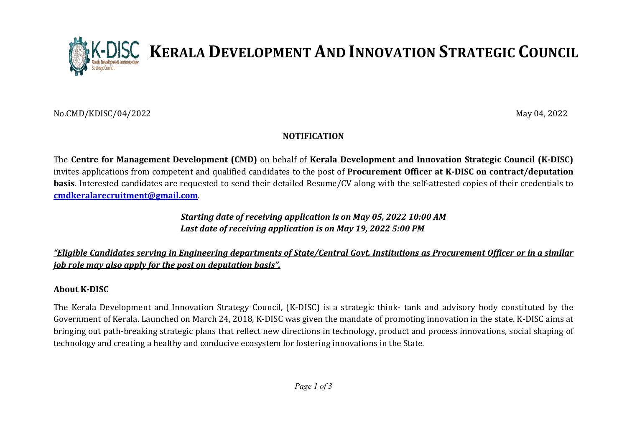No.CMD/KDISC/04/2022

May 04, 2022

# NOTIFICATION

KERALA DEVELOPMENT AND INNOVATION STRATEGIC COUNCIL

The Centre for Management Development (CMD) on behalf of Kerala Development and Innovation Strategic Council (K-DISC) invites applications from competent and qualified candidates to the post of Procurement Officer at K-DISC on contract/deputation **basis**. Interested candidates are requested to send their detailed Resume/CV along with the self-attested copies of their credentials to cmdkeralarecruitment@gmail.com.

# Starting date of receiving application is on May 05, 2022 10:00 AM Last date of receiving application is on May 19, 2022 5:00 PM

<u>"Eligible Candidates serving in Engineering departments of State/Central Govt. Institutions as Procurement Officer or in a similar</u> job role may also apply for the post on deputation basis".

### About K-DISC

The Kerala Development and Innovation Strategy Council, (K-DISC) is a strategic think- tank and advisory body constituted by the Government of Kerala. Launched on March 24, 2018, K-DISC was given the mandate of promoting innovation in the state. K-DISC aims at bringing out path-breaking strategic plans that reflect new directions in technology, product and process innovations, social shaping of technology and creating a healthy and conducive ecosystem for fostering innovations in the State.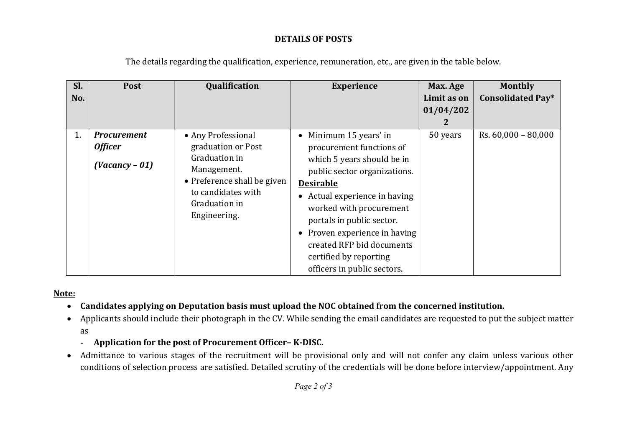# DETAILS OF POSTS

| SI. | Post               | Qualification                                                                      | <b>Experience</b>                        | Max. Age    | <b>Monthly</b>           |
|-----|--------------------|------------------------------------------------------------------------------------|------------------------------------------|-------------|--------------------------|
| No. |                    |                                                                                    |                                          | Limit as on | <b>Consolidated Pay*</b> |
|     |                    |                                                                                    |                                          | 01/04/202   |                          |
|     |                    |                                                                                    |                                          |             |                          |
| 1.  | <b>Procurement</b> | • Any Professional                                                                 | Minimum 15 years' in                     | 50 years    | $Rs. 60,000 - 80,000$    |
|     | <b>Officer</b>     | graduation or Post                                                                 | procurement functions of                 |             |                          |
|     | $(Vacancy - 01)$   | Graduation in                                                                      | which 5 years should be in               |             |                          |
|     |                    | Management.                                                                        | public sector organizations.             |             |                          |
|     |                    | • Preference shall be given<br>to candidates with<br>Graduation in<br>Engineering. | <b>Desirable</b>                         |             |                          |
|     |                    |                                                                                    | Actual experience in having<br>$\bullet$ |             |                          |
|     |                    |                                                                                    | worked with procurement                  |             |                          |
|     |                    |                                                                                    | portals in public sector.                |             |                          |
|     |                    |                                                                                    | • Proven experience in having            |             |                          |
|     |                    |                                                                                    | created RFP bid documents                |             |                          |
|     |                    |                                                                                    | certified by reporting                   |             |                          |
|     |                    |                                                                                    | officers in public sectors.              |             |                          |

The details regarding the qualification, experience, remuneration, etc., are given in the table below.

#### Note:

- Candidates applying on Deputation basis must upload the NOC obtained from the concerned institution.
- Applicants should include their photograph in the CV. While sending the email candidates are requested to put the subject matter as
	- Application for the post of Procurement Officer– K-DISC.
- Admittance to various stages of the recruitment will be provisional only and will not confer any claim unless various other conditions of selection process are satisfied. Detailed scrutiny of the credentials will be done before interview/appointment. Any